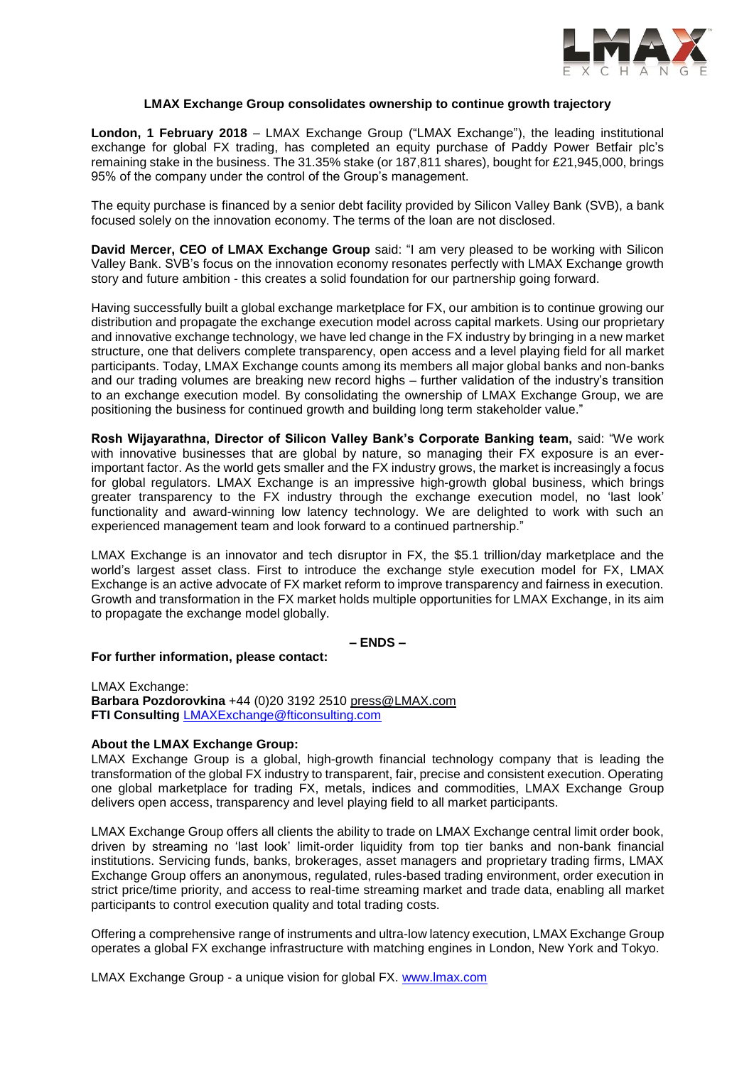

# **LMAX Exchange Group consolidates ownership to continue growth trajectory**

**London, 1 February 2018** – LMAX Exchange Group ("LMAX Exchange"), the leading institutional exchange for global FX trading, has completed an equity purchase of Paddy Power Betfair plc's remaining stake in the business. The 31.35% stake (or 187,811 shares), bought for £21,945,000, brings 95% of the company under the control of the Group's management.

The equity purchase is financed by a senior debt facility provided by Silicon Valley Bank (SVB), a bank focused solely on the innovation economy. The terms of the loan are not disclosed.

**David Mercer, CEO of LMAX Exchange Group** said: "I am very pleased to be working with Silicon Valley Bank. SVB's focus on the innovation economy resonates perfectly with LMAX Exchange growth story and future ambition - this creates a solid foundation for our partnership going forward.

Having successfully built a global exchange marketplace for FX, our ambition is to continue growing our distribution and propagate the exchange execution model across capital markets. Using our proprietary and innovative exchange technology, we have led change in the FX industry by bringing in a new market structure, one that delivers complete transparency, open access and a level playing field for all market participants. Today, LMAX Exchange counts among its members all major global banks and non-banks and our trading volumes are breaking new record highs – further validation of the industry's transition to an exchange execution model. By consolidating the ownership of LMAX Exchange Group, we are positioning the business for continued growth and building long term stakeholder value."

**Rosh Wijayarathna, Director of Silicon Valley Bank's Corporate Banking team,** said: "We work with innovative businesses that are global by nature, so managing their FX exposure is an everimportant factor. As the world gets smaller and the FX industry grows, the market is increasingly a focus for global regulators. LMAX Exchange is an impressive high-growth global business, which brings greater transparency to the FX industry through the exchange execution model, no 'last look' functionality and award-winning low latency technology. We are delighted to work with such an experienced management team and look forward to a continued partnership."

LMAX Exchange is an innovator and tech disruptor in FX, the \$5.1 trillion/day marketplace and the world's largest asset class. First to introduce the exchange style execution model for FX, LMAX Exchange is an active advocate of FX market reform to improve transparency and fairness in execution. Growth and transformation in the FX market holds multiple opportunities for LMAX Exchange, in its aim to propagate the exchange model globally.

**– ENDS –**

## **For further information, please contact:**

LMAX Exchange: **Barbara Pozdorovkina** +44 (0)20 3192 2510 [press@LMAX.com](mailto:press@LMAX.com) **FTI Consulting** [LMAXExchange@fticonsulting.com](mailto:LMAXExchange@fticonsulting.com)

## **About the LMAX Exchange Group:**

LMAX Exchange Group is a global, high-growth financial technology company that is leading the transformation of the global FX industry to transparent, fair, precise and consistent execution. Operating one global marketplace for trading FX, metals, indices and commodities, LMAX Exchange Group delivers open access, transparency and level playing field to all market participants.

LMAX Exchange Group offers all clients the ability to trade on LMAX Exchange central limit order book, driven by streaming no 'last look' limit-order liquidity from top tier banks and non-bank financial institutions. Servicing funds, banks, brokerages, asset managers and proprietary trading firms, LMAX Exchange Group offers an anonymous, regulated, rules-based trading environment, order execution in strict price/time priority, and access to real-time streaming market and trade data, enabling all market participants to control execution quality and total trading costs.

Offering a comprehensive range of instruments and ultra-low latency execution, LMAX Exchange Group operates a global FX exchange infrastructure with matching engines in London, New York and Tokyo.

LMAX Exchange Group - a unique vision for global FX. [www.lmax.com](http://www.lmax.com/)